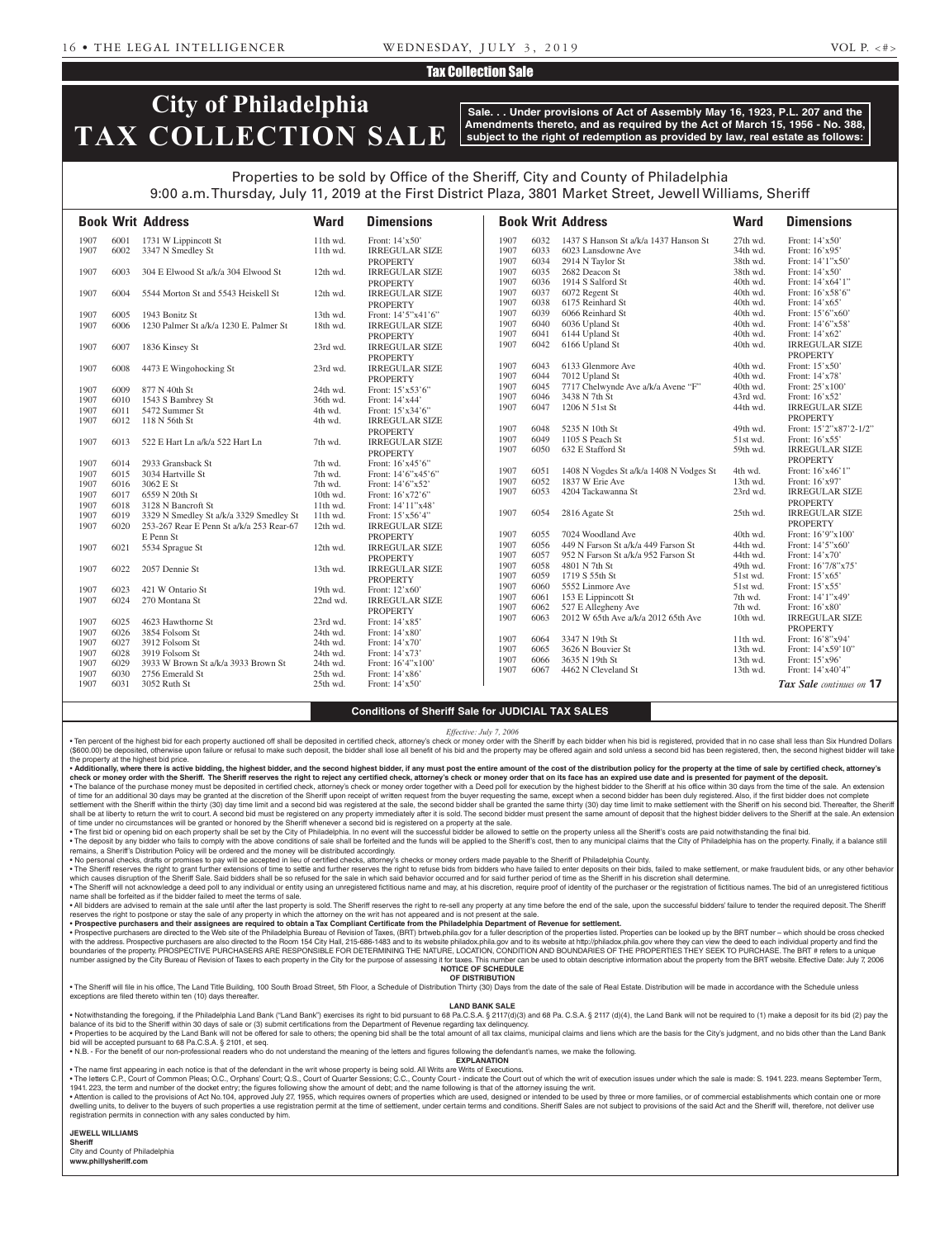### Tax Collection Sale

# **City of Philadelphia TAX COLLECTION SALE**

**Sale. . . Under provisions of Act of Assembly May 16, 1923, P.L. 207 and the Amendments thereto, and as required by the Act of March 15, 1956 - No. 388, subject to the right of redemption as provided by law, real estate as follows:**

## Properties to be sold by Office of the Sheriff, City and County of Philadelphia 9:00 a.m. Thursday, July 11, 2019 at the First District Plaza, 3801 Market Street, Jewell Williams, Sheriff

|      |      | <b>Book Writ Address</b>                 | <b>Ward</b> | <b>Dimensions</b>     |      |      | <b>Book Writ Address</b>                | <b>Ward</b> | <b>Dimensions</b>        |
|------|------|------------------------------------------|-------------|-----------------------|------|------|-----------------------------------------|-------------|--------------------------|
| 1907 | 6001 | 1731 W Lippincott St                     | 11th wd.    | Front: 14'x50'        | 1907 | 6032 | 1437 S Hanson St a/k/a 1437 Hanson St   | 27th wd.    | Front: 14'x50'           |
| 1907 | 6002 | 3347 N Smedley St                        | 11th wd.    | <b>IRREGULAR SIZE</b> | 1907 | 6033 | 6023 Lansdowne Ave                      | 34th wd.    | Front: 16'x95'           |
|      |      |                                          |             | <b>PROPERTY</b>       | 1907 | 6034 | 2914 N Taylor St                        | 38th wd.    | Front: 14'1"x50'         |
| 1907 | 6003 | 304 E Elwood St a/k/a 304 Elwood St      | 12th wd.    | <b>IRREGULAR SIZE</b> | 1907 | 6035 | 2682 Deacon St                          | 38th wd.    | Front: $14'x50'$         |
|      |      |                                          |             | <b>PROPERTY</b>       | 1907 | 6036 | 1914 S Salford St                       | 40th wd.    | Front: 14'x64'1"         |
| 1907 | 6004 | 5544 Morton St and 5543 Heiskell St      | 12th wd.    | <b>IRREGULAR SIZE</b> | 1907 | 6037 | 6072 Regent St                          | 40th wd.    | Front: 16'x58'6"         |
|      |      |                                          |             | <b>PROPERTY</b>       | 1907 | 6038 | 6175 Reinhard St                        | 40th wd.    | Front: 14'x65'           |
| 1907 | 6005 | 1943 Bonitz St                           | 13th wd.    | Front: 14'5"x41'6"    | 1907 | 6039 | 6066 Reinhard St                        | 40th wd.    | Front: 15'6"x60'         |
| 1907 | 6006 | 1230 Palmer St a/k/a 1230 E. Palmer St   | 18th wd.    | <b>IRREGULAR SIZE</b> | 1907 | 6040 | 6036 Upland St                          | 40th wd.    | Front: 14'6"x58"         |
|      |      |                                          |             | <b>PROPERTY</b>       | 1907 | 6041 | 6144 Upland St                          | 40th wd.    | Front: 14'x62'           |
| 1907 | 6007 | 1836 Kinsey St                           | 23rd wd.    | <b>IRREGULAR SIZE</b> | 1907 | 6042 | 6166 Upland St                          | 40th wd.    | <b>IRREGULAR SIZE</b>    |
|      |      |                                          |             | <b>PROPERTY</b>       |      |      |                                         |             | <b>PROPERTY</b>          |
| 1907 | 6008 | 4473 E Wingohocking St                   | 23rd wd.    | <b>IRREGULAR SIZE</b> | 1907 | 6043 | 6133 Glenmore Ave                       | 40th wd.    | Front: 15'x50'           |
|      |      |                                          |             | <b>PROPERTY</b>       | 1907 | 6044 | 7012 Upland St                          | 40th wd.    | Front: 14'x78'           |
| 1907 | 6009 | 877 N 40th St                            | 24th wd.    | Front: 15'x53'6"      | 1907 | 6045 | 7717 Chelwynde Ave a/k/a Avene "F"      | 40th wd.    | Front: 25'x100'          |
| 1907 | 6010 | 1543 S Bambrey St                        | 36th wd.    | Front: 14'x44'        | 1907 | 6046 | 3438 N 7th St                           | 43rd wd.    | Front: 16'x52'           |
| 1907 | 6011 | 5472 Summer St                           | 4th wd.     | Front: 15'x34'6"      | 1907 | 6047 | 1206 N 51st St                          | 44th wd.    | <b>IRREGULAR SIZE</b>    |
| 1907 | 6012 | 118 N 56th St                            | 4th wd.     | <b>IRREGULAR SIZE</b> |      |      |                                         |             | <b>PROPERTY</b>          |
|      |      |                                          |             | <b>PROPERTY</b>       | 1907 | 6048 | 5235 N 10th St                          | 49th wd.    | Front: 15'2"x87'2-1/2"   |
| 1907 | 6013 | 522 E Hart Ln a/k/a 522 Hart Ln          | 7th wd.     | <b>IRREGULAR SIZE</b> | 1907 | 6049 | 1105 S Peach St                         | 51st wd.    | Front: 16'x55'           |
|      |      |                                          |             | <b>PROPERTY</b>       | 1907 | 6050 | 632 E Stafford St                       | 59th wd.    | <b>IRREGULAR SIZE</b>    |
| 1907 | 6014 | 2933 Gransback St                        | 7th wd.     | Front: 16'x45'6"      |      |      |                                         |             | <b>PROPERTY</b>          |
| 1907 | 6015 | 3034 Hartville St                        | 7th wd.     | Front: 14'6"x45'6"    | 1907 | 6051 | 1408 N Vogdes St a/k/a 1408 N Vodges St | 4th wd.     | Front: 16'x46'1"         |
| 1907 | 6016 | 3062 E St                                | 7th wd.     | Front: 14'6"x52'      | 1907 | 6052 | 1837 W Erie Ave                         | 13th wd.    | Front: 16'x97'           |
| 1907 | 6017 | 6559 N 20th St                           | 10th wd.    | Front: 16'x72'6"      | 1907 | 6053 | 4204 Tackawanna St                      | 23rd wd.    | <b>IRREGULAR SIZE</b>    |
| 1907 | 6018 | 3128 N Bancroft St                       | 11th wd.    | Front: 14'11"x48'     |      |      |                                         |             | <b>PROPERTY</b>          |
| 1907 | 6019 | 3329 N Smedley St a/k/a 3329 Smedley St  | 11th wd.    | Front: 15'x56'4"      | 1907 | 6054 | 2816 Agate St                           | 25th wd.    | <b>IRREGULAR SIZE</b>    |
| 1907 | 6020 | 253-267 Rear E Penn St a/k/a 253 Rear-67 | 12th wd.    | <b>IRREGULAR SIZE</b> |      |      |                                         |             | <b>PROPERTY</b>          |
|      |      | E Penn St                                |             | <b>PROPERTY</b>       | 1907 | 6055 | 7024 Woodland Ave                       | 40th wd.    | Front: 16'9"x100'        |
| 1907 | 6021 | 5534 Sprague St                          | 12th wd.    | <b>IRREGULAR SIZE</b> | 1907 | 6056 | 449 N Farson St a/k/a 449 Farson St     | 44th wd.    | Front: 14'5"x60"         |
|      |      |                                          |             | <b>PROPERTY</b>       | 1907 | 6057 | 952 N Farson St a/k/a 952 Farson St     | 44th wd.    | Front: 14'x70'           |
| 1907 | 6022 | 2057 Dennie St                           | 13th wd.    | <b>IRREGULAR SIZE</b> | 1907 | 6058 | 4801 N 7th St                           | 49th wd.    | Front: 16'7/8"x75'       |
|      |      |                                          |             | <b>PROPERTY</b>       | 1907 | 6059 | 1719 S 55th St                          | 51st wd.    | Front: 15'x65'           |
| 1907 | 6023 | 421 W Ontario St                         | 19th wd.    | Front: 12'x60'        | 1907 | 6060 | 5552 Linmore Ave                        | 51st wd.    | Front: 15'x55'           |
| 1907 | 6024 | 270 Montana St                           | 22nd wd.    | <b>IRREGULAR SIZE</b> | 1907 | 6061 | 153 E Lippincott St                     | 7th wd.     | Front: 14'1"x49"         |
|      |      |                                          |             | <b>PROPERTY</b>       | 1907 | 6062 | 527 E Allegheny Ave                     | 7th wd.     | Front: 16'x80'           |
| 1907 | 6025 | 4623 Hawthorne St                        | 23rd wd.    | Front: 14'x85'        | 1907 | 6063 | 2012 W 65th Ave a/k/a 2012 65th Ave     | 10th wd.    | <b>IRREGULAR SIZE</b>    |
| 1907 | 6026 | 3854 Folsom St                           | 24th wd.    | Front: 14'x80'        |      |      |                                         |             | <b>PROPERTY</b>          |
| 1907 | 6027 | 3912 Folsom St                           | 24th wd.    | Front: 14'x70'        | 1907 | 6064 | 3347 N 19th St                          | 11th wd.    | Front: 16'8"x94'         |
| 1907 | 6028 | 3919 Folsom St                           | 24th wd.    | Front: 14'x73'        | 1907 | 6065 | 3626 N Bouvier St                       | 13th wd.    | Front: 14'x59'10"        |
| 1907 | 6029 | 3933 W Brown St a/k/a 3933 Brown St      | 24th wd.    | Front: 16'4"x100"     | 1907 | 6066 | 3635 N 19th St                          | 13th wd.    | Front: 15'x96'           |
| 1907 | 6030 | 2756 Emerald St                          | 25th wd.    | Front: 14'x86'        | 1907 | 6067 | 4462 N Cleveland St                     | 13th wd.    | Front: 14'x40'4"         |
| 1907 | 6031 | 3052 Ruth St                             | 25th wd.    | Front: 14'x50'        |      |      |                                         |             | Tax Sale continues on 17 |
|      |      |                                          |             |                       |      |      |                                         |             |                          |

### **Conditions of Sheriff Sale for JUDICIAL TAX SALES**

*Effective: July 7, 2006*

• Ten percent of the highest bid for each property auctioned off shall be deposited in certified check, attorney's check or money order with the Sheriff by each bidder when his bid is registered, provided that in no case s (\$600.00) be deposited, otherwise upon failure or refusal to make such deposit, the bidder shall lose all benefit of his bid and the property may be offered again and sold unless a second bid has been registered, then, the the property at the highest bid price.

. Additionally, where there is active bidding, the highest bidder, and the second highest bidder, if any must post the entire amount of the cost of the distribution policy for the property at the time of sale by certified check or money order with the Sheriff. The Sheriff reserves the right to reject any certified check, attorney's check or money order that on its face has an expired use date and is presented for payment of the deposit.

. The balance of the purchase money must be deposited in certified check, attorney's check or money order together with a Deed poll for execution by the highest bidder to the Sheriff at his office within 30 days from the t of time for an additional 30 days may be granted at the discretion of the Sheriff upon receipt of written request from the buyer requesting the same, except when a second bidder has been duly registered. Also, if the first settlement with the Sheriff within the thirty (30) day time limit and a second bid was registered at the sale, the second bidder shall be granted the same thirty (30) day time limit to make settlement with the Sheriff on h shall be at liberty to return the writ to court. A second bid must be registered on any property immediately after it is sold. The second bidder must present the same amount of deposit that the highest bidder delivers to t of time under no circumstances will be granted or honored by the Sheriff whenever a second bid is registered on a property at the sale.

The first bid or opening bid on each property shall be set by the City of Philadelphia. In no event will the successful bidder be allowed to settle on the property unless all the Sheriff's costs are paid notwithstanding th . The deposit by any bidder who fails to comply with the above conditions of sale shall be forfeited and the funds will be applied to the Sheriff's cost, then to any municipal claims that the City of Philadelphia has on th

remains, a Sheriff's Distribution Policy will be ordered and the money will be distributed accordingly.<br>• No personal checks, drafts or promises to pay will be accepted in lieu of certified checks, attorney's checks or mo

. The Sheriff reserves the right to grant further extensions of time to settle and further reserves the right to refuse bids from bidders who have failed to enter deposits on their bids, failed to make settlement, or make which causes disruption of the Sheriff Sale. Said bidders shall be so refused for the sale in which said behavior occurred and for said further period of time as the Sheriff in his discretion shall determine. . The Sheriff will not acknowledge a deed poll to any individual or entity using an unregistered fictitious name and may, at his discretion, require proof of identity of the purchaser or the registration of fictitious name

name shall be forfeited as if the bidder failed to meet the terms of sale. . All bidders are advised to remain at the sale until after the last property is sold. The Sheriff reserves the right to re-sell any property at any time before the end of the sale, upon the successful bidders' failure to

reserves the right to postpone or stay the sale of any property in which the attorney on the writ has not appeared and is not present at the sale

• Prospective purchasers and their assignees are required to obtain a Tax Compliant Certificate from the Philadelphia Department of Revenue for settlement.<br>• Prospective purchasers are directed to the Web site of the Phila with the address. Prospective purchasers are also directed to the Room 154 City Hall, 215-686-1483 and to its website philadox.phila.gov and to its website at http://phila.dox.phila.gov where they can view the deed to each boundaries of the property. PROSPECTIVE PURCHASERS ARE RESPONSIBLE FOR DETERMINING THE NATURE, LOCATION, CONDITION AND BOUNDARIES OF THE PROPERTIES THEY SEEK TO PURCHASE. The BRT # refers to a unique number assigned by the City Bureau of Revision of Taxes to each property in the City for the purpose of assessing it for taxes. This number can be used to obtain descriptive information about the property from the BRT webs

#### **NOTICE OF SCHEDULE OF DISTRIBUTION**

. The Sheriff will file in his office, The Land Title Building, 100 South Broad Street, 5th Floor, a Schedule of Distribution Thirty (30) Days from the date of the sale of Real Estate. Distribution will be made in accordan exceptions are filed thereto within ten (10) days thereafter.

### **LAND BANK SALE**

• Notwithstanding the foregoing, if the Philadelphia Land Bank ("Land Bank") exercises its right to bid pursuant to 68 Pa.C.S.A. § 2117(d)(3) and 68 Pa.C.S.A. § 2117 (d)(4), the Land Bank will not be required to (1) make a balance of its bid to the Sheriff within 30 days of sale or (3) submit certifications from the Department of Revenue regarding tax delinquency.

• Properties to be acquired by the Land Bank will not be offered for sale to others; the opening bid shall be the total amount of all tax claims, municipal claims and liens which are the basis for the City's judgment, and bid will be accepted pursuant to 68 Pa.C.S.A. § 2101, et seq. • N.B. - For the benefit of our non-professional readers who do not understand the meaning of the letters and figures following the defendant's names, we make the following.

**EXPLANATION** 

• The name first appearing in each notice is that of the defendant in the writ whose property is being sold. All Writs are Writs of Executions.

. The letters C.P., Court of Common Pleas; O.C., Orphans' Court; Q.S., Court of Quarter Sessions; C.C., County Court - indicate the Court out of which the writ of execution issues under which the sale is made: S. 1941. 223 1941. 223, the term and number of the docket entry; the figures following show the amount of debt; and the name following is that of the attorney issuing the writ.

. Attention is called to the provisions of Act No.104, approved July 27, 1955, which requires owners of properties which are used, designed or intended to be used by three or more families, or of commercial establishments dwelling units, to deliver to the buyers of such properties a use registration permit at the time of settlement, under certain terms and conditions. Sheriff Sales are not subject to provisions of the said Act and the Sheri registration permits in connection with any sales conducted by him.

**JEWELL WILLIAMS Sheriff**  City and County of Philadelphia

**www.phillysheriff.com**